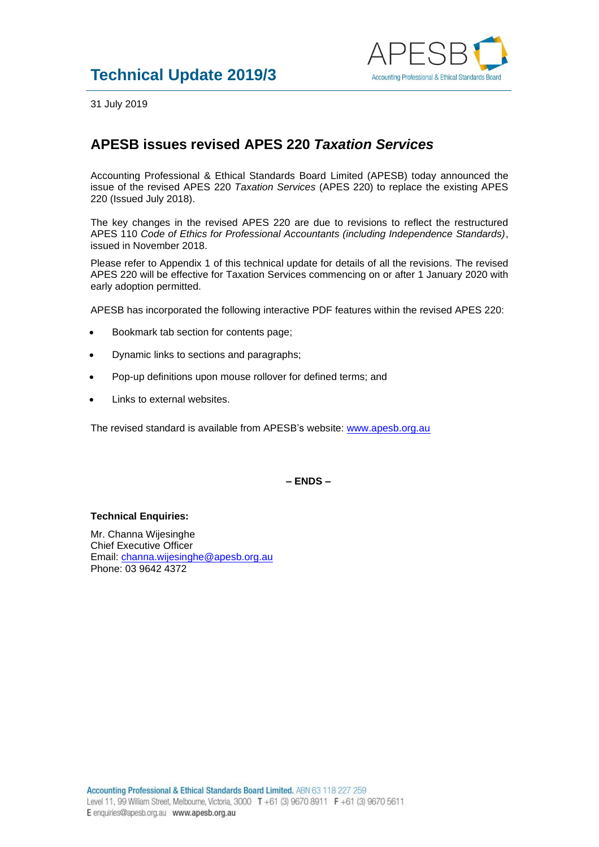

31 July 2019

## **APESB issues revised APES 220** *Taxation Services*

Accounting Professional & Ethical Standards Board Limited (APESB) today announced the issue of the revised APES 220 *Taxation Services* (APES 220) to replace the existing APES 220 (Issued July 2018).

The key changes in the revised APES 220 are due to revisions to reflect the restructured APES 110 *Code of Ethics for Professional Accountants (including Independence Standards)*, issued in November 2018.

Please refer to Appendix 1 of this technical update for details of all the revisions. The revised APES 220 will be effective for Taxation Services commencing on or after 1 January 2020 with early adoption permitted.

APESB has incorporated the following interactive PDF features within the revised APES 220:

- Bookmark tab section for contents page;
- Dynamic links to sections and paragraphs;
- Pop-up definitions upon mouse rollover for defined terms; and
- Links to external websites.

The revised standard is available from APESB's website: [www.apesb.org.au](http://www.apesb.org.au/)

**– ENDS –**

## **Technical Enquiries:**

Mr. Channa Wijesinghe Chief Executive Officer Email: [channa.wijesinghe@apesb.org.au](mailto:channa.wijesinghe@apesb.org.au) Phone: 03 9642 4372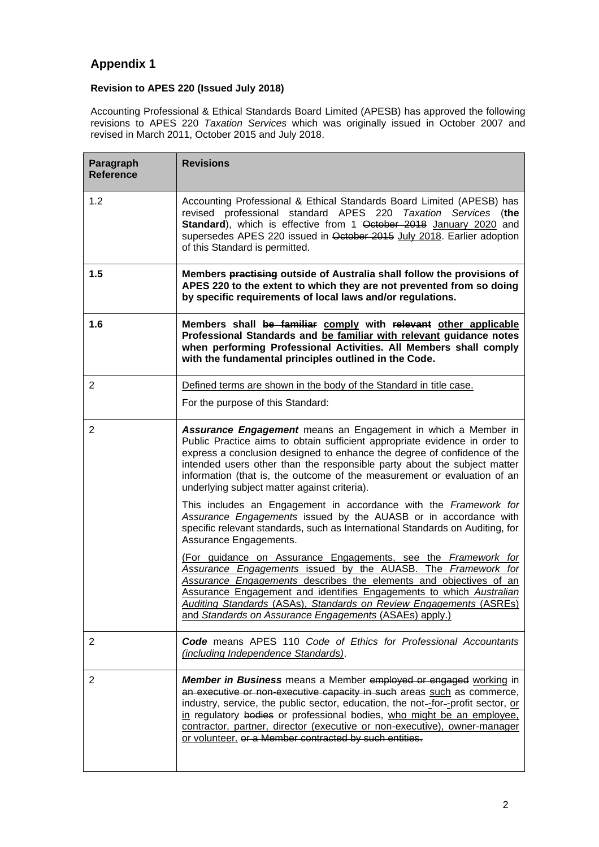## **Appendix 1**

## **Revision to APES 220 (Issued July 2018)**

Accounting Professional & Ethical Standards Board Limited (APESB) has approved the following revisions to APES 220 *Taxation Services* which was originally issued in October 2007 and revised in March 2011, October 2015 and July 2018.

| Paragraph<br><b>Reference</b> | <b>Revisions</b>                                                                                                                                                                                                                                                                                                                                                                                                                                                                                                                                                                                                                                                                                                                                                                                                                                                                                                                                                                                                                                                                               |
|-------------------------------|------------------------------------------------------------------------------------------------------------------------------------------------------------------------------------------------------------------------------------------------------------------------------------------------------------------------------------------------------------------------------------------------------------------------------------------------------------------------------------------------------------------------------------------------------------------------------------------------------------------------------------------------------------------------------------------------------------------------------------------------------------------------------------------------------------------------------------------------------------------------------------------------------------------------------------------------------------------------------------------------------------------------------------------------------------------------------------------------|
| 1.2                           | Accounting Professional & Ethical Standards Board Limited (APESB) has<br>revised professional standard APES 220 Taxation Services (the<br>Standard), which is effective from 1 October 2018 January 2020 and<br>supersedes APES 220 issued in October 2015 July 2018. Earlier adoption<br>of this Standard is permitted.                                                                                                                                                                                                                                                                                                                                                                                                                                                                                                                                                                                                                                                                                                                                                                       |
| 1.5                           | Members practising outside of Australia shall follow the provisions of<br>APES 220 to the extent to which they are not prevented from so doing<br>by specific requirements of local laws and/or regulations.                                                                                                                                                                                                                                                                                                                                                                                                                                                                                                                                                                                                                                                                                                                                                                                                                                                                                   |
| 1.6                           | Members shall be familiar comply with relevant other applicable<br>Professional Standards and be familiar with relevant guidance notes<br>when performing Professional Activities. All Members shall comply<br>with the fundamental principles outlined in the Code.                                                                                                                                                                                                                                                                                                                                                                                                                                                                                                                                                                                                                                                                                                                                                                                                                           |
| 2                             | Defined terms are shown in the body of the Standard in title case.                                                                                                                                                                                                                                                                                                                                                                                                                                                                                                                                                                                                                                                                                                                                                                                                                                                                                                                                                                                                                             |
|                               | For the purpose of this Standard:                                                                                                                                                                                                                                                                                                                                                                                                                                                                                                                                                                                                                                                                                                                                                                                                                                                                                                                                                                                                                                                              |
| 2                             | Assurance Engagement means an Engagement in which a Member in<br>Public Practice aims to obtain sufficient appropriate evidence in order to<br>express a conclusion designed to enhance the degree of confidence of the<br>intended users other than the responsible party about the subject matter<br>information (that is, the outcome of the measurement or evaluation of an<br>underlying subject matter against criteria).<br>This includes an Engagement in accordance with the Framework for<br>Assurance Engagements issued by the AUASB or in accordance with<br>specific relevant standards, such as International Standards on Auditing, for<br>Assurance Engagements.<br>(For guidance on Assurance Engagements, see the Framework for<br>Assurance Engagements issued by the AUASB. The Framework for<br>Assurance Engagements describes the elements and objectives of an<br>Assurance Engagement and identifies Engagements to which Australian<br>Auditing Standards (ASAs), Standards on Review Engagements (ASREs)<br>and Standards on Assurance Engagements (ASAEs) apply.) |
| 2                             | <b>Code</b> means APES 110 Code of Ethics for Professional Accountants<br>(including Independence Standards).                                                                                                                                                                                                                                                                                                                                                                                                                                                                                                                                                                                                                                                                                                                                                                                                                                                                                                                                                                                  |
| 2                             | <b>Member in Business</b> means a Member employed or engaged working in<br>an executive or non-executive capacity in such areas such as commerce,<br>industry, service, the public sector, education, the not-for-profit sector, or<br>in regulatory bodies or professional bodies, who might be an employee.<br>contractor, partner, director (executive or non-executive), owner-manager<br>or volunteer. or a Member contracted by such entities.                                                                                                                                                                                                                                                                                                                                                                                                                                                                                                                                                                                                                                           |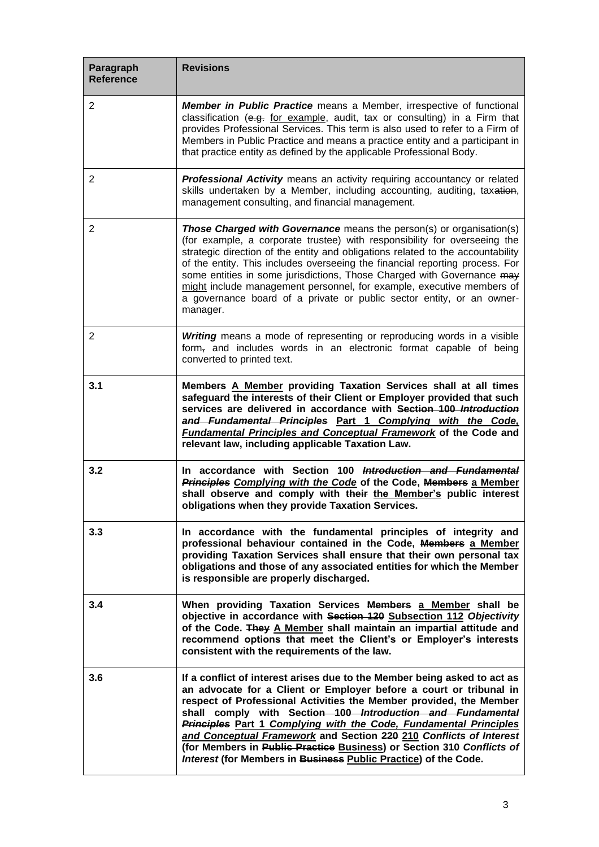| Paragraph<br><b>Reference</b> | <b>Revisions</b>                                                                                                                                                                                                                                                                                                                                                                                                                                                                                                                                                          |
|-------------------------------|---------------------------------------------------------------------------------------------------------------------------------------------------------------------------------------------------------------------------------------------------------------------------------------------------------------------------------------------------------------------------------------------------------------------------------------------------------------------------------------------------------------------------------------------------------------------------|
| $\overline{2}$                | <b>Member in Public Practice</b> means a Member, irrespective of functional<br>classification (e.g. for example, audit, tax or consulting) in a Firm that<br>provides Professional Services. This term is also used to refer to a Firm of<br>Members in Public Practice and means a practice entity and a participant in<br>that practice entity as defined by the applicable Professional Body.                                                                                                                                                                          |
| 2                             | Professional Activity means an activity requiring accountancy or related<br>skills undertaken by a Member, including accounting, auditing, taxation,<br>management consulting, and financial management.                                                                                                                                                                                                                                                                                                                                                                  |
| $\overline{2}$                | <b>Those Charged with Governance</b> means the person(s) or organisation(s)<br>(for example, a corporate trustee) with responsibility for overseeing the<br>strategic direction of the entity and obligations related to the accountability<br>of the entity. This includes overseeing the financial reporting process. For<br>some entities in some jurisdictions, Those Charged with Governance may<br>might include management personnel, for example, executive members of<br>a governance board of a private or public sector entity, or an owner-<br>manager.       |
| 2                             | <b>Writing</b> means a mode of representing or reproducing words in a visible<br>form, and includes words in an electronic format capable of being<br>converted to printed text.                                                                                                                                                                                                                                                                                                                                                                                          |
| 3.1                           | Members A Member providing Taxation Services shall at all times<br>safeguard the interests of their Client or Employer provided that such<br>services are delivered in accordance with Section 100 Introduction<br>and Fundamental Principles Part 1 Complying with the Code,<br><b>Fundamental Principles and Conceptual Framework of the Code and</b><br>relevant law, including applicable Taxation Law.                                                                                                                                                               |
| 3.2                           | In accordance with Section 100 Introduction and Fundamental<br>Principles Complying with the Code of the Code, Members a Member<br>shall observe and comply with their the Member's public interest<br>obligations when they provide Taxation Services.                                                                                                                                                                                                                                                                                                                   |
| 3.3                           | In accordance with the fundamental principles of integrity and<br>professional behaviour contained in the Code, Members a Member<br>providing Taxation Services shall ensure that their own personal tax<br>obligations and those of any associated entities for which the Member<br>is responsible are properly discharged.                                                                                                                                                                                                                                              |
| 3.4                           | When providing Taxation Services Members a Member shall be<br>objective in accordance with Section 120 Subsection 112 Objectivity<br>of the Code. They A Member shall maintain an impartial attitude and<br>recommend options that meet the Client's or Employer's interests<br>consistent with the requirements of the law.                                                                                                                                                                                                                                              |
| 3.6                           | If a conflict of interest arises due to the Member being asked to act as<br>an advocate for a Client or Employer before a court or tribunal in<br>respect of Professional Activities the Member provided, the Member<br>shall comply with Section 100 Introduction and Fundamental<br>Principles Part 1 Complying with the Code, Fundamental Principles<br>and Conceptual Framework and Section 220 210 Conflicts of Interest<br>(for Members in Public Practice Business) or Section 310 Conflicts of<br>Interest (for Members in Business Public Practice) of the Code. |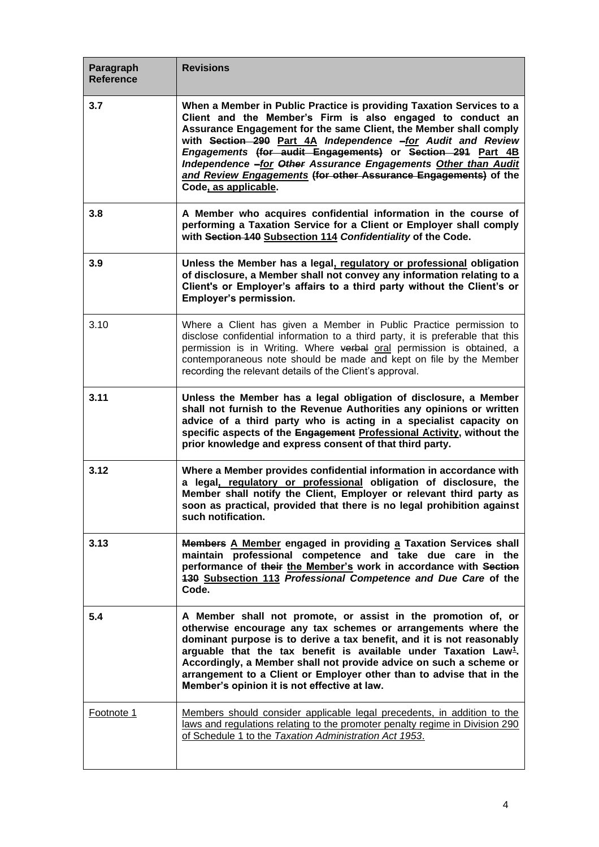| Paragraph<br><b>Reference</b> | <b>Revisions</b>                                                                                                                                                                                                                                                                                                                                                                                                                                                                                  |
|-------------------------------|---------------------------------------------------------------------------------------------------------------------------------------------------------------------------------------------------------------------------------------------------------------------------------------------------------------------------------------------------------------------------------------------------------------------------------------------------------------------------------------------------|
| 3.7                           | When a Member in Public Practice is providing Taxation Services to a<br>Client and the Member's Firm is also engaged to conduct an<br>Assurance Engagement for the same Client, the Member shall comply<br>with Section 290 Part 4A Independence -for Audit and Review<br>Engagements (for audit Engagements) or Section 291 Part 4B<br>Independence -for Other Assurance Engagements Other than Audit<br>and Review Engagements (for other Assurance Engagements) of the<br>Code, as applicable. |
| 3.8                           | A Member who acquires confidential information in the course of<br>performing a Taxation Service for a Client or Employer shall comply<br>with Section 140 Subsection 114 Confidentiality of the Code.                                                                                                                                                                                                                                                                                            |
| 3.9                           | Unless the Member has a legal, regulatory or professional obligation<br>of disclosure, a Member shall not convey any information relating to a<br>Client's or Employer's affairs to a third party without the Client's or<br>Employer's permission.                                                                                                                                                                                                                                               |
| 3.10                          | Where a Client has given a Member in Public Practice permission to<br>disclose confidential information to a third party, it is preferable that this<br>permission is in Writing. Where verbal oral permission is obtained, a<br>contemporaneous note should be made and kept on file by the Member<br>recording the relevant details of the Client's approval.                                                                                                                                   |
| 3.11                          | Unless the Member has a legal obligation of disclosure, a Member<br>shall not furnish to the Revenue Authorities any opinions or written<br>advice of a third party who is acting in a specialist capacity on<br>specific aspects of the Engagement Professional Activity, without the<br>prior knowledge and express consent of that third party.                                                                                                                                                |
| 3.12                          | Where a Member provides confidential information in accordance with<br>a legal, regulatory or professional obligation of disclosure, the<br>Member shall notify the Client, Employer or relevant third party as<br>soon as practical, provided that there is no legal prohibition against<br>such notification.                                                                                                                                                                                   |
| 3.13                          | Members A Member engaged in providing a Taxation Services shall<br>maintain professional competence and take due care in the<br>performance of their the Member's work in accordance with Section<br>430 Subsection 113 Professional Competence and Due Care of the<br>Code.                                                                                                                                                                                                                      |
| 5.4                           | A Member shall not promote, or assist in the promotion of, or<br>otherwise encourage any tax schemes or arrangements where the<br>dominant purpose is to derive a tax benefit, and it is not reasonably<br>arguable that the tax benefit is available under Taxation Law <sup>1</sup> .<br>Accordingly, a Member shall not provide advice on such a scheme or<br>arrangement to a Client or Employer other than to advise that in the<br>Member's opinion it is not effective at law.             |
| Footnote 1                    | Members should consider applicable legal precedents, in addition to the<br>laws and regulations relating to the promoter penalty regime in Division 290<br>of Schedule 1 to the Taxation Administration Act 1953.                                                                                                                                                                                                                                                                                 |